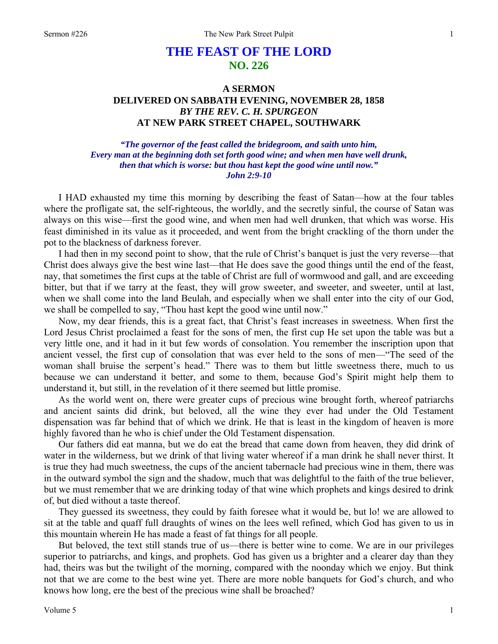# **THE FEAST OF THE LORD NO. 226**

# **A SERMON DELIVERED ON SABBATH EVENING, NOVEMBER 28, 1858**  *BY THE REV. C. H. SPURGEON*  **AT NEW PARK STREET CHAPEL, SOUTHWARK**

# *"The governor of the feast called the bridegroom, and saith unto him, Every man at the beginning doth set forth good wine; and when men have well drunk, then that which is worse: but thou hast kept the good wine until now." John 2:9-10*

I HAD exhausted my time this morning by describing the feast of Satan—how at the four tables where the profligate sat, the self-righteous, the worldly, and the secretly sinful, the course of Satan was always on this wise—first the good wine, and when men had well drunken, that which was worse. His feast diminished in its value as it proceeded, and went from the bright crackling of the thorn under the pot to the blackness of darkness forever.

I had then in my second point to show, that the rule of Christ's banquet is just the very reverse—that Christ does always give the best wine last—that He does save the good things until the end of the feast, nay, that sometimes the first cups at the table of Christ are full of wormwood and gall, and are exceeding bitter, but that if we tarry at the feast, they will grow sweeter, and sweeter, and sweeter, until at last, when we shall come into the land Beulah, and especially when we shall enter into the city of our God, we shall be compelled to say, "Thou hast kept the good wine until now."

Now, my dear friends, this is a great fact, that Christ's feast increases in sweetness. When first the Lord Jesus Christ proclaimed a feast for the sons of men, the first cup He set upon the table was but a very little one, and it had in it but few words of consolation. You remember the inscription upon that ancient vessel, the first cup of consolation that was ever held to the sons of men—"The seed of the woman shall bruise the serpent's head." There was to them but little sweetness there, much to us because we can understand it better, and some to them, because God's Spirit might help them to understand it, but still, in the revelation of it there seemed but little promise.

As the world went on, there were greater cups of precious wine brought forth, whereof patriarchs and ancient saints did drink, but beloved, all the wine they ever had under the Old Testament dispensation was far behind that of which we drink. He that is least in the kingdom of heaven is more highly favored than he who is chief under the Old Testament dispensation.

Our fathers did eat manna, but we do eat the bread that came down from heaven, they did drink of water in the wilderness, but we drink of that living water whereof if a man drink he shall never thirst. It is true they had much sweetness, the cups of the ancient tabernacle had precious wine in them, there was in the outward symbol the sign and the shadow, much that was delightful to the faith of the true believer, but we must remember that we are drinking today of that wine which prophets and kings desired to drink of, but died without a taste thereof.

They guessed its sweetness, they could by faith foresee what it would be, but lo! we are allowed to sit at the table and quaff full draughts of wines on the lees well refined, which God has given to us in this mountain wherein He has made a feast of fat things for all people.

But beloved, the text still stands true of us—there is better wine to come. We are in our privileges superior to patriarchs, and kings, and prophets. God has given us a brighter and a clearer day than they had, theirs was but the twilight of the morning, compared with the noonday which we enjoy. But think not that we are come to the best wine yet. There are more noble banquets for God's church, and who knows how long, ere the best of the precious wine shall be broached?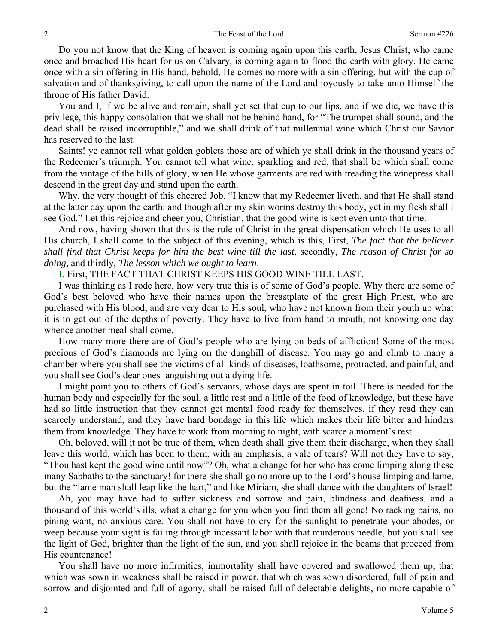Do you not know that the King of heaven is coming again upon this earth, Jesus Christ, who came once and broached His heart for us on Calvary, is coming again to flood the earth with glory. He came once with a sin offering in His hand, behold, He comes no more with a sin offering, but with the cup of salvation and of thanksgiving, to call upon the name of the Lord and joyously to take unto Himself the throne of His father David.

You and I, if we be alive and remain, shall yet set that cup to our lips, and if we die, we have this privilege, this happy consolation that we shall not be behind hand, for "The trumpet shall sound, and the dead shall be raised incorruptible," and we shall drink of that millennial wine which Christ our Savior has reserved to the last.

Saints! ye cannot tell what golden goblets those are of which ye shall drink in the thousand years of the Redeemer's triumph. You cannot tell what wine, sparkling and red, that shall be which shall come from the vintage of the hills of glory, when He whose garments are red with treading the winepress shall descend in the great day and stand upon the earth.

Why, the very thought of this cheered Job. "I know that my Redeemer liveth, and that He shall stand at the latter day upon the earth: and though after my skin worms destroy this body, yet in my flesh shall I see God." Let this rejoice and cheer you, Christian, that the good wine is kept even unto that time.

And now, having shown that this is the rule of Christ in the great dispensation which He uses to all His church, I shall come to the subject of this evening, which is this, First, *The fact that the believer shall find that Christ keeps for him the best wine till the last,* secondly, *The reason of Christ for so doing,* and thirdly, *The lesson which we ought to learn*.

**I.** First, THE FACT THAT CHRIST KEEPS HIS GOOD WINE TILL LAST.

I was thinking as I rode here, how very true this is of some of God's people. Why there are some of God's best beloved who have their names upon the breastplate of the great High Priest, who are purchased with His blood, and are very dear to His soul, who have not known from their youth up what it is to get out of the depths of poverty. They have to live from hand to mouth, not knowing one day whence another meal shall come.

How many more there are of God's people who are lying on beds of affliction! Some of the most precious of God's diamonds are lying on the dunghill of disease. You may go and climb to many a chamber where you shall see the victims of all kinds of diseases, loathsome, protracted, and painful, and you shall see God's dear ones languishing out a dying life.

I might point you to others of God's servants, whose days are spent in toil. There is needed for the human body and especially for the soul, a little rest and a little of the food of knowledge, but these have had so little instruction that they cannot get mental food ready for themselves, if they read they can scarcely understand, and they have hard bondage in this life which makes their life bitter and hinders them from knowledge. They have to work from morning to night, with scarce a moment's rest.

Oh, beloved, will it not be true of them, when death shall give them their discharge, when they shall leave this world, which has been to them, with an emphasis, a vale of tears? Will not they have to say, "Thou hast kept the good wine until now"? Oh, what a change for her who has come limping along these many Sabbaths to the sanctuary! for there she shall go no more up to the Lord's house limping and lame, but the "lame man shall leap like the hart," and like Miriam, she shall dance with the daughters of Israel!

Ah, you may have had to suffer sickness and sorrow and pain, blindness and deafness, and a thousand of this world's ills, what a change for you when you find them all gone! No racking pains, no pining want, no anxious care. You shall not have to cry for the sunlight to penetrate your abodes, or weep because your sight is failing through incessant labor with that murderous needle, but you shall see the light of God, brighter than the light of the sun, and you shall rejoice in the beams that proceed from His countenance!

You shall have no more infirmities, immortality shall have covered and swallowed them up, that which was sown in weakness shall be raised in power, that which was sown disordered, full of pain and sorrow and disjointed and full of agony, shall be raised full of delectable delights, no more capable of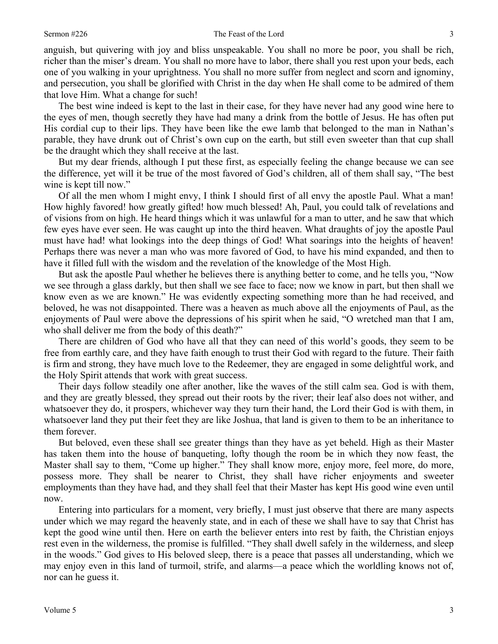## Sermon #226 The Feast of the Lord

anguish, but quivering with joy and bliss unspeakable. You shall no more be poor, you shall be rich, richer than the miser's dream. You shall no more have to labor, there shall you rest upon your beds, each one of you walking in your uprightness. You shall no more suffer from neglect and scorn and ignominy, and persecution, you shall be glorified with Christ in the day when He shall come to be admired of them that love Him. What a change for such!

The best wine indeed is kept to the last in their case, for they have never had any good wine here to the eyes of men, though secretly they have had many a drink from the bottle of Jesus. He has often put His cordial cup to their lips. They have been like the ewe lamb that belonged to the man in Nathan's parable, they have drunk out of Christ's own cup on the earth, but still even sweeter than that cup shall be the draught which they shall receive at the last.

But my dear friends, although I put these first, as especially feeling the change because we can see the difference, yet will it be true of the most favored of God's children, all of them shall say, "The best wine is kept till now."

Of all the men whom I might envy, I think I should first of all envy the apostle Paul. What a man! How highly favored! how greatly gifted! how much blessed! Ah, Paul, you could talk of revelations and of visions from on high. He heard things which it was unlawful for a man to utter, and he saw that which few eyes have ever seen. He was caught up into the third heaven. What draughts of joy the apostle Paul must have had! what lookings into the deep things of God! What soarings into the heights of heaven! Perhaps there was never a man who was more favored of God, to have his mind expanded, and then to have it filled full with the wisdom and the revelation of the knowledge of the Most High.

But ask the apostle Paul whether he believes there is anything better to come, and he tells you, "Now we see through a glass darkly, but then shall we see face to face; now we know in part, but then shall we know even as we are known." He was evidently expecting something more than he had received, and beloved, he was not disappointed. There was a heaven as much above all the enjoyments of Paul, as the enjoyments of Paul were above the depressions of his spirit when he said, "O wretched man that I am, who shall deliver me from the body of this death?"

There are children of God who have all that they can need of this world's goods, they seem to be free from earthly care, and they have faith enough to trust their God with regard to the future. Their faith is firm and strong, they have much love to the Redeemer, they are engaged in some delightful work, and the Holy Spirit attends that work with great success.

Their days follow steadily one after another, like the waves of the still calm sea. God is with them, and they are greatly blessed, they spread out their roots by the river; their leaf also does not wither, and whatsoever they do, it prospers, whichever way they turn their hand, the Lord their God is with them, in whatsoever land they put their feet they are like Joshua, that land is given to them to be an inheritance to them forever.

But beloved, even these shall see greater things than they have as yet beheld. High as their Master has taken them into the house of banqueting, lofty though the room be in which they now feast, the Master shall say to them, "Come up higher." They shall know more, enjoy more, feel more, do more, possess more. They shall be nearer to Christ, they shall have richer enjoyments and sweeter employments than they have had, and they shall feel that their Master has kept His good wine even until now.

Entering into particulars for a moment, very briefly, I must just observe that there are many aspects under which we may regard the heavenly state, and in each of these we shall have to say that Christ has kept the good wine until then. Here on earth the believer enters into rest by faith, the Christian enjoys rest even in the wilderness, the promise is fulfilled. "They shall dwell safely in the wilderness, and sleep in the woods." God gives to His beloved sleep, there is a peace that passes all understanding, which we may enjoy even in this land of turmoil, strife, and alarms—a peace which the worldling knows not of, nor can he guess it.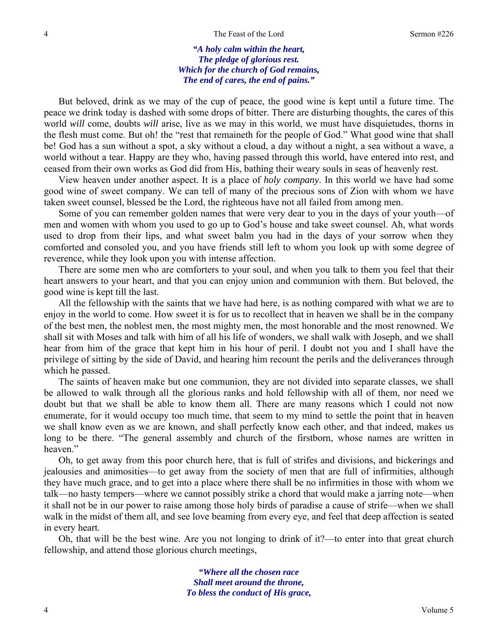*"A holy calm within the heart, The pledge of glorious rest. Which for the church of God remains, The end of cares, the end of pains."* 

But beloved, drink as we may of the cup of peace, the good wine is kept until a future time. The peace we drink today is dashed with some drops of bitter. There are disturbing thoughts, the cares of this world *will* come, doubts *will* arise, live as we may in this world, we must have disquietudes, thorns in the flesh must come. But oh! the "rest that remaineth for the people of God." What good wine that shall be! God has a sun without a spot, a sky without a cloud, a day without a night, a sea without a wave, a world without a tear. Happy are they who, having passed through this world, have entered into rest, and ceased from their own works as God did from His, bathing their weary souls in seas of heavenly rest.

View heaven under another aspect. It is a place of *holy company*. In this world we have had some good wine of sweet company. We can tell of many of the precious sons of Zion with whom we have taken sweet counsel, blessed be the Lord, the righteous have not all failed from among men.

Some of you can remember golden names that were very dear to you in the days of your youth—of men and women with whom you used to go up to God's house and take sweet counsel. Ah, what words used to drop from their lips, and what sweet balm you had in the days of your sorrow when they comforted and consoled you, and you have friends still left to whom you look up with some degree of reverence, while they look upon you with intense affection.

There are some men who are comforters to your soul, and when you talk to them you feel that their heart answers to your heart, and that you can enjoy union and communion with them. But beloved, the good wine is kept till the last.

All the fellowship with the saints that we have had here, is as nothing compared with what we are to enjoy in the world to come. How sweet it is for us to recollect that in heaven we shall be in the company of the best men, the noblest men, the most mighty men, the most honorable and the most renowned. We shall sit with Moses and talk with him of all his life of wonders, we shall walk with Joseph, and we shall hear from him of the grace that kept him in his hour of peril. I doubt not you and I shall have the privilege of sitting by the side of David, and hearing him recount the perils and the deliverances through which he passed.

The saints of heaven make but one communion, they are not divided into separate classes, we shall be allowed to walk through all the glorious ranks and hold fellowship with all of them, nor need we doubt but that we shall be able to know them all. There are many reasons which I could not now enumerate, for it would occupy too much time, that seem to my mind to settle the point that in heaven we shall know even as we are known, and shall perfectly know each other, and that indeed, makes us long to be there. "The general assembly and church of the firstborn, whose names are written in heaven."

Oh, to get away from this poor church here, that is full of strifes and divisions, and bickerings and jealousies and animosities—to get away from the society of men that are full of infirmities, although they have much grace, and to get into a place where there shall be no infirmities in those with whom we talk—no hasty tempers—where we cannot possibly strike a chord that would make a jarring note—when it shall not be in our power to raise among those holy birds of paradise a cause of strife—when we shall walk in the midst of them all, and see love beaming from every eye, and feel that deep affection is seated in every heart.

Oh, that will be the best wine. Are you not longing to drink of it?—to enter into that great church fellowship, and attend those glorious church meetings,

> *"Where all the chosen race Shall meet around the throne, To bless the conduct of His grace,*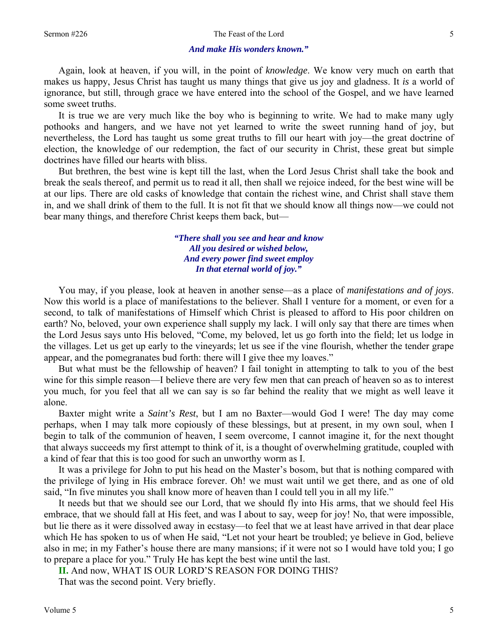### Sermon #226 The Feast of the Lord

## *And make His wonders known."*

Again, look at heaven, if you will, in the point of *knowledge*. We know very much on earth that makes us happy, Jesus Christ has taught us many things that give us joy and gladness. It *is* a world of ignorance, but still, through grace we have entered into the school of the Gospel, and we have learned some sweet truths.

It is true we are very much like the boy who is beginning to write. We had to make many ugly pothooks and hangers, and we have not yet learned to write the sweet running hand of joy, but nevertheless, the Lord has taught us some great truths to fill our heart with joy—the great doctrine of election, the knowledge of our redemption, the fact of our security in Christ, these great but simple doctrines have filled our hearts with bliss.

But brethren, the best wine is kept till the last, when the Lord Jesus Christ shall take the book and break the seals thereof, and permit us to read it all, then shall we rejoice indeed, for the best wine will be at our lips. There are old casks of knowledge that contain the richest wine, and Christ shall stave them in, and we shall drink of them to the full. It is not fit that we should know all things now—we could not bear many things, and therefore Christ keeps them back, but—

> *"There shall you see and hear and know All you desired or wished below, And every power find sweet employ In that eternal world of joy."*

You may, if you please, look at heaven in another sense—as a place of *manifestations and of joys*. Now this world is a place of manifestations to the believer. Shall I venture for a moment, or even for a second, to talk of manifestations of Himself which Christ is pleased to afford to His poor children on earth? No, beloved, your own experience shall supply my lack. I will only say that there are times when the Lord Jesus says unto His beloved, "Come, my beloved, let us go forth into the field; let us lodge in the villages. Let us get up early to the vineyards; let us see if the vine flourish, whether the tender grape appear, and the pomegranates bud forth: there will I give thee my loaves."

But what must be the fellowship of heaven? I fail tonight in attempting to talk to you of the best wine for this simple reason—I believe there are very few men that can preach of heaven so as to interest you much, for you feel that all we can say is so far behind the reality that we might as well leave it alone.

Baxter might write a *Saint's Rest*, but I am no Baxter—would God I were! The day may come perhaps, when I may talk more copiously of these blessings, but at present, in my own soul, when I begin to talk of the communion of heaven, I seem overcome, I cannot imagine it, for the next thought that always succeeds my first attempt to think of it, is a thought of overwhelming gratitude, coupled with a kind of fear that this is too good for such an unworthy worm as I.

It was a privilege for John to put his head on the Master's bosom, but that is nothing compared with the privilege of lying in His embrace forever. Oh! we must wait until we get there, and as one of old said, "In five minutes you shall know more of heaven than I could tell you in all my life."

It needs but that we should see our Lord, that we should fly into His arms, that we should feel His embrace, that we should fall at His feet, and was I about to say, weep for joy! No, that were impossible, but lie there as it were dissolved away in ecstasy—to feel that we at least have arrived in that dear place which He has spoken to us of when He said, "Let not your heart be troubled; ye believe in God, believe also in me; in my Father's house there are many mansions; if it were not so I would have told you; I go to prepare a place for you." Truly He has kept the best wine until the last.

**II.** And now, WHAT IS OUR LORD'S REASON FOR DOING THIS?

That was the second point. Very briefly.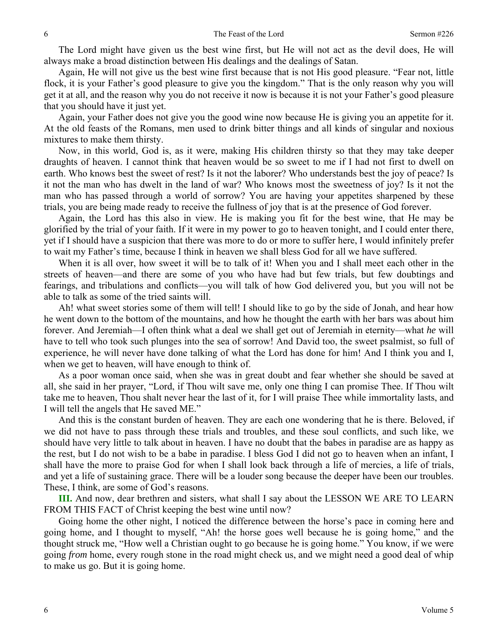The Lord might have given us the best wine first, but He will not act as the devil does, He will always make a broad distinction between His dealings and the dealings of Satan.

Again, He will not give us the best wine first because that is not His good pleasure. "Fear not, little flock, it is your Father's good pleasure to give you the kingdom." That is the only reason why you will get it at all, and the reason why you do not receive it now is because it is not your Father's good pleasure that you should have it just yet.

Again, your Father does not give you the good wine now because He is giving you an appetite for it. At the old feasts of the Romans, men used to drink bitter things and all kinds of singular and noxious mixtures to make them thirsty.

Now, in this world, God is, as it were, making His children thirsty so that they may take deeper draughts of heaven. I cannot think that heaven would be so sweet to me if I had not first to dwell on earth. Who knows best the sweet of rest? Is it not the laborer? Who understands best the joy of peace? Is it not the man who has dwelt in the land of war? Who knows most the sweetness of joy? Is it not the man who has passed through a world of sorrow? You are having your appetites sharpened by these trials, you are being made ready to receive the fullness of joy that is at the presence of God forever.

Again, the Lord has this also in view. He is making you fit for the best wine, that He may be glorified by the trial of your faith. If it were in my power to go to heaven tonight, and I could enter there, yet if I should have a suspicion that there was more to do or more to suffer here, I would infinitely prefer to wait my Father's time, because I think in heaven we shall bless God for all we have suffered.

When it is all over, how sweet it will be to talk of it! When you and I shall meet each other in the streets of heaven—and there are some of you who have had but few trials, but few doubtings and fearings, and tribulations and conflicts—you will talk of how God delivered you, but you will not be able to talk as some of the tried saints will.

Ah! what sweet stories some of them will tell! I should like to go by the side of Jonah, and hear how he went down to the bottom of the mountains, and how he thought the earth with her bars was about him forever. And Jeremiah—I often think what a deal we shall get out of Jeremiah in eternity—what *he* will have to tell who took such plunges into the sea of sorrow! And David too, the sweet psalmist, so full of experience, he will never have done talking of what the Lord has done for him! And I think you and I, when we get to heaven, will have enough to think of.

As a poor woman once said, when she was in great doubt and fear whether she should be saved at all, she said in her prayer, "Lord, if Thou wilt save me, only one thing I can promise Thee. If Thou wilt take me to heaven, Thou shalt never hear the last of it, for I will praise Thee while immortality lasts, and I will tell the angels that He saved ME."

And this is the constant burden of heaven. They are each one wondering that he is there. Beloved, if we did not have to pass through these trials and troubles, and these soul conflicts, and such like, we should have very little to talk about in heaven. I have no doubt that the babes in paradise are as happy as the rest, but I do not wish to be a babe in paradise. I bless God I did not go to heaven when an infant, I shall have the more to praise God for when I shall look back through a life of mercies, a life of trials, and yet a life of sustaining grace. There will be a louder song because the deeper have been our troubles. These, I think, are some of God's reasons.

**III.** And now, dear brethren and sisters, what shall I say about the LESSON WE ARE TO LEARN FROM THIS FACT of Christ keeping the best wine until now?

Going home the other night, I noticed the difference between the horse's pace in coming here and going home, and I thought to myself, "Ah! the horse goes well because he is going home," and the thought struck me, "How well a Christian ought to go because he is going home." You know, if we were going *from* home, every rough stone in the road might check us, and we might need a good deal of whip to make us go. But it is going home.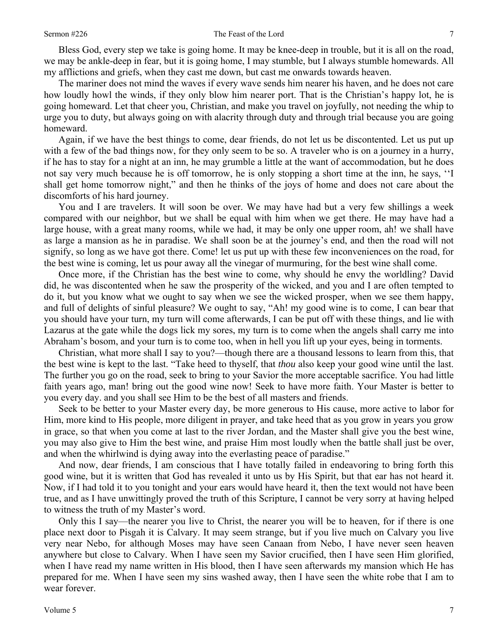Bless God, every step we take is going home. It may be knee-deep in trouble, but it is all on the road, we may be ankle-deep in fear, but it is going home, I may stumble, but I always stumble homewards. All my afflictions and griefs, when they cast me down, but cast me onwards towards heaven.

The mariner does not mind the waves if every wave sends him nearer his haven, and he does not care how loudly howl the winds, if they only blow him nearer port. That is the Christian's happy lot, he is going homeward. Let that cheer you, Christian, and make you travel on joyfully, not needing the whip to urge you to duty, but always going on with alacrity through duty and through trial because you are going homeward.

Again, if we have the best things to come, dear friends, do not let us be discontented. Let us put up with a few of the bad things now, for they only seem to be so. A traveler who is on a journey in a hurry, if he has to stay for a night at an inn, he may grumble a little at the want of accommodation, but he does not say very much because he is off tomorrow, he is only stopping a short time at the inn, he says, ''I shall get home tomorrow night," and then he thinks of the joys of home and does not care about the discomforts of his hard journey.

You and I are travelers. It will soon be over. We may have had but a very few shillings a week compared with our neighbor, but we shall be equal with him when we get there. He may have had a large house, with a great many rooms, while we had, it may be only one upper room, ah! we shall have as large a mansion as he in paradise. We shall soon be at the journey's end, and then the road will not signify, so long as we have got there. Come! let us put up with these few inconveniences on the road, for the best wine is coming, let us pour away all the vinegar of murmuring, for the best wine shall come.

Once more, if the Christian has the best wine to come, why should he envy the worldling? David did, he was discontented when he saw the prosperity of the wicked, and you and I are often tempted to do it, but you know what we ought to say when we see the wicked prosper, when we see them happy, and full of delights of sinful pleasure? We ought to say, "Ah! my good wine is to come, I can bear that you should have your turn, my turn will come afterwards, I can be put off with these things, and lie with Lazarus at the gate while the dogs lick my sores, my turn is to come when the angels shall carry me into Abraham's bosom, and your turn is to come too, when in hell you lift up your eyes, being in torments.

Christian, what more shall I say to you?—though there are a thousand lessons to learn from this, that the best wine is kept to the last. "Take heed to thyself, that *thou* also keep your good wine until the last. The further you go on the road, seek to bring to your Savior the more acceptable sacrifice. You had little faith years ago, man! bring out the good wine now! Seek to have more faith. Your Master is better to you every day. and you shall see Him to be the best of all masters and friends.

Seek to be better to your Master every day, be more generous to His cause, more active to labor for Him, more kind to His people, more diligent in prayer, and take heed that as you grow in years you grow in grace, so that when you come at last to the river Jordan, and the Master shall give you the best wine, you may also give to Him the best wine, and praise Him most loudly when the battle shall just be over, and when the whirlwind is dying away into the everlasting peace of paradise."

And now, dear friends, I am conscious that I have totally failed in endeavoring to bring forth this good wine, but it is written that God has revealed it unto us by His Spirit, but that ear has not heard it. Now, if I had told it to you tonight and your ears would have heard it, then the text would not have been true, and as I have unwittingly proved the truth of this Scripture, I cannot be very sorry at having helped to witness the truth of my Master's word.

Only this I say—the nearer you live to Christ, the nearer you will be to heaven, for if there is one place next door to Pisgah it is Calvary. It may seem strange, but if you live much on Calvary you live very near Nebo, for although Moses may have seen Canaan from Nebo, I have never seen heaven anywhere but close to Calvary. When I have seen my Savior crucified, then I have seen Him glorified, when I have read my name written in His blood, then I have seen afterwards my mansion which He has prepared for me. When I have seen my sins washed away, then I have seen the white robe that I am to wear forever.